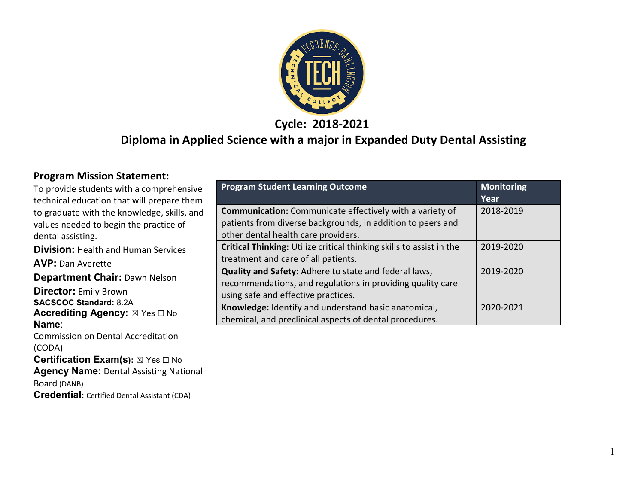

**Cycle: 2018-2021**

#### **Diploma in Applied Science with a major in Expanded Duty Dental Assisting**

#### **Program Mission Statement:**

**Credential:** Certified Dental Assistant (CDA)

| To provide students with a comprehensive                | <b>Program Student Learning Outcome</b>                              | <b>Monitoring</b> |
|---------------------------------------------------------|----------------------------------------------------------------------|-------------------|
| technical education that will prepare them              |                                                                      | Year              |
| to graduate with the knowledge, skills, and             | <b>Communication:</b> Communicate effectively with a variety of      | 2018-2019         |
| values needed to begin the practice of                  | patients from diverse backgrounds, in addition to peers and          |                   |
| dental assisting.                                       | other dental health care providers.                                  |                   |
| <b>Division: Health and Human Services</b>              | Critical Thinking: Utilize critical thinking skills to assist in the | 2019-2020         |
| <b>AVP:</b> Dan Averette                                | treatment and care of all patients.                                  |                   |
|                                                         | Quality and Safety: Adhere to state and federal laws,                | 2019-2020         |
| <b>Department Chair: Dawn Nelson</b>                    | recommendations, and regulations in providing quality care           |                   |
| <b>Director:</b> Emily Brown                            | using safe and effective practices.                                  |                   |
| <b>SACSCOC Standard: 8.2A</b>                           | Knowledge: Identify and understand basic anatomical,                 | 2020-2021         |
| <b>Accrediting Agency:</b> ⊠ Yes □ No<br>Name:          | chemical, and preclinical aspects of dental procedures.              |                   |
| <b>Commission on Dental Accreditation</b>               |                                                                      |                   |
| (CODA)                                                  |                                                                      |                   |
| <b>Certification Exam(s):</b> $\boxtimes$ Yes $\Box$ No |                                                                      |                   |
| <b>Agency Name: Dental Assisting National</b>           |                                                                      |                   |
| Board (DANB)                                            |                                                                      |                   |

1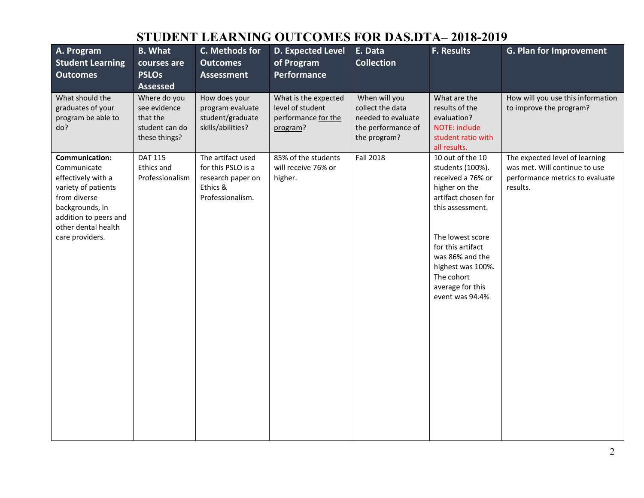| A. Program<br><b>Student Learning</b><br><b>Outcomes</b>                                                                                                                                | <b>B.</b> What<br>courses are<br><b>PSLOs</b><br><b>Assessed</b>            | C. Methods for<br><b>Outcomes</b><br><b>Assessment</b>                                       | <b>D. Expected Level</b><br>of Program<br>Performance                       | E. Data<br><b>Collection</b>                                                                  | F. Results                                                                                                                                                                                                                                                  | G. Plan for Improvement                                                                                        |
|-----------------------------------------------------------------------------------------------------------------------------------------------------------------------------------------|-----------------------------------------------------------------------------|----------------------------------------------------------------------------------------------|-----------------------------------------------------------------------------|-----------------------------------------------------------------------------------------------|-------------------------------------------------------------------------------------------------------------------------------------------------------------------------------------------------------------------------------------------------------------|----------------------------------------------------------------------------------------------------------------|
| What should the<br>graduates of your<br>program be able to<br>do?                                                                                                                       | Where do you<br>see evidence<br>that the<br>student can do<br>these things? | How does your<br>program evaluate<br>student/graduate<br>skills/abilities?                   | What is the expected<br>level of student<br>performance for the<br>program? | When will you<br>collect the data<br>needed to evaluate<br>the performance of<br>the program? | What are the<br>results of the<br>evaluation?<br><b>NOTE: include</b><br>student ratio with<br>all results.                                                                                                                                                 | How will you use this information<br>to improve the program?                                                   |
| <b>Communication:</b><br>Communicate<br>effectively with a<br>variety of patients<br>from diverse<br>backgrounds, in<br>addition to peers and<br>other dental health<br>care providers. | <b>DAT 115</b><br>Ethics and<br>Professionalism                             | The artifact used<br>for this PSLO is a<br>research paper on<br>Ethics &<br>Professionalism. | 85% of the students<br>will receive 76% or<br>higher.                       | <b>Fall 2018</b>                                                                              | 10 out of the 10<br>students (100%).<br>received a 76% or<br>higher on the<br>artifact chosen for<br>this assessment.<br>The lowest score<br>for this artifact<br>was 86% and the<br>highest was 100%.<br>The cohort<br>average for this<br>event was 94.4% | The expected level of learning<br>was met. Will continue to use<br>performance metrics to evaluate<br>results. |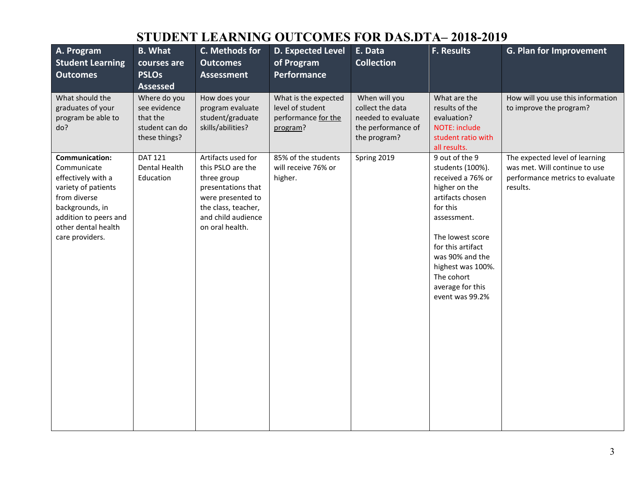| A. Program<br><b>Student Learning</b><br><b>Outcomes</b>                                                                                                                         | <b>B.</b> What<br>courses are<br><b>PSLOs</b><br><b>Assessed</b>            | C. Methods for<br><b>Outcomes</b><br><b>Assessment</b>                                                                                                            | <b>D. Expected Level</b><br>of Program<br>Performance                       | E. Data<br><b>Collection</b>                                                                  | F. Results                                                                                                                                                                                                                                                    | <b>G. Plan for Improvement</b>                                                                                 |
|----------------------------------------------------------------------------------------------------------------------------------------------------------------------------------|-----------------------------------------------------------------------------|-------------------------------------------------------------------------------------------------------------------------------------------------------------------|-----------------------------------------------------------------------------|-----------------------------------------------------------------------------------------------|---------------------------------------------------------------------------------------------------------------------------------------------------------------------------------------------------------------------------------------------------------------|----------------------------------------------------------------------------------------------------------------|
| What should the<br>graduates of your<br>program be able to<br>do?                                                                                                                | Where do you<br>see evidence<br>that the<br>student can do<br>these things? | How does your<br>program evaluate<br>student/graduate<br>skills/abilities?                                                                                        | What is the expected<br>level of student<br>performance for the<br>program? | When will you<br>collect the data<br>needed to evaluate<br>the performance of<br>the program? | What are the<br>results of the<br>evaluation?<br>NOTE: include<br>student ratio with<br>all results.                                                                                                                                                          | How will you use this information<br>to improve the program?                                                   |
| Communication:<br>Communicate<br>effectively with a<br>variety of patients<br>from diverse<br>backgrounds, in<br>addition to peers and<br>other dental health<br>care providers. | <b>DAT 121</b><br>Dental Health<br>Education                                | Artifacts used for<br>this PSLO are the<br>three group<br>presentations that<br>were presented to<br>the class, teacher,<br>and child audience<br>on oral health. | 85% of the students<br>will receive 76% or<br>higher.                       | Spring 2019                                                                                   | 9 out of the 9<br>students (100%).<br>received a 76% or<br>higher on the<br>artifacts chosen<br>for this<br>assessment.<br>The lowest score<br>for this artifact<br>was 90% and the<br>highest was 100%.<br>The cohort<br>average for this<br>event was 99.2% | The expected level of learning<br>was met. Will continue to use<br>performance metrics to evaluate<br>results. |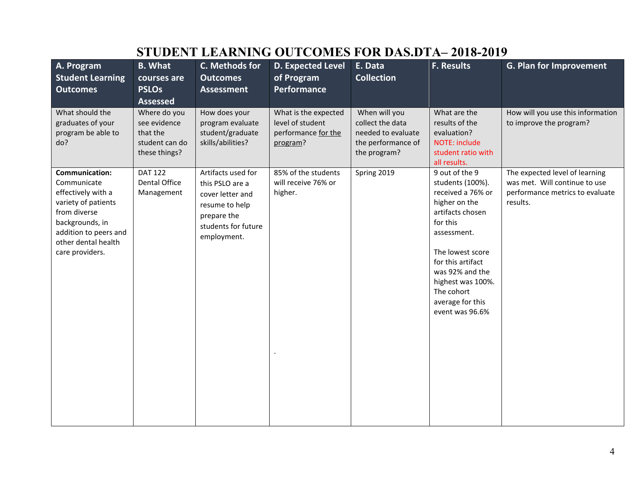| A. Program<br><b>Student Learning</b><br><b>Outcomes</b>                                                                                                                                | <b>B.</b> What<br>courses are<br><b>PSLOs</b><br><b>Assessed</b>            | C. Methods for<br><b>Outcomes</b><br><b>Assessment</b>                                                                           | <b>D. Expected Level</b><br>of Program<br>Performance                       | E. Data<br><b>Collection</b>                                                                  | <b>F. Results</b>                                                                                                                                                                                                                                             | <b>G. Plan for Improvement</b>                                                                                 |
|-----------------------------------------------------------------------------------------------------------------------------------------------------------------------------------------|-----------------------------------------------------------------------------|----------------------------------------------------------------------------------------------------------------------------------|-----------------------------------------------------------------------------|-----------------------------------------------------------------------------------------------|---------------------------------------------------------------------------------------------------------------------------------------------------------------------------------------------------------------------------------------------------------------|----------------------------------------------------------------------------------------------------------------|
| What should the<br>graduates of your<br>program be able to<br>do?                                                                                                                       | Where do you<br>see evidence<br>that the<br>student can do<br>these things? | How does your<br>program evaluate<br>student/graduate<br>skills/abilities?                                                       | What is the expected<br>level of student<br>performance for the<br>program? | When will you<br>collect the data<br>needed to evaluate<br>the performance of<br>the program? | What are the<br>results of the<br>evaluation?<br><b>NOTE: include</b><br>student ratio with<br>all results.                                                                                                                                                   | How will you use this information<br>to improve the program?                                                   |
| <b>Communication:</b><br>Communicate<br>effectively with a<br>variety of patients<br>from diverse<br>backgrounds, in<br>addition to peers and<br>other dental health<br>care providers. | <b>DAT 122</b><br>Dental Office<br>Management                               | Artifacts used for<br>this PSLO are a<br>cover letter and<br>resume to help<br>prepare the<br>students for future<br>employment. | 85% of the students<br>will receive 76% or<br>higher.                       | Spring 2019                                                                                   | 9 out of the 9<br>students (100%).<br>received a 76% or<br>higher on the<br>artifacts chosen<br>for this<br>assessment.<br>The lowest score<br>for this artifact<br>was 92% and the<br>highest was 100%.<br>The cohort<br>average for this<br>event was 96.6% | The expected level of learning<br>was met. Will continue to use<br>performance metrics to evaluate<br>results. |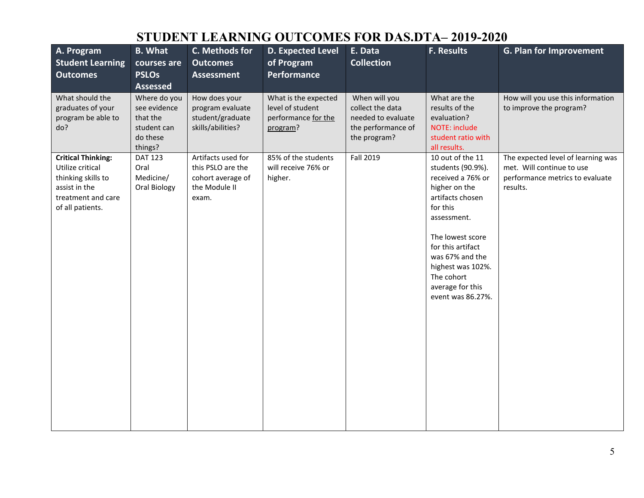| A. Program<br><b>Student Learning</b><br><b>Outcomes</b>                                                                       | <b>B.</b> What<br>courses are<br><b>PSLOs</b><br><b>Assessed</b>               | C. Methods for<br><b>Outcomes</b><br><b>Assessment</b>                                 | D. Expected Level<br>of Program<br><b>Performance</b>                       | E. Data<br><b>Collection</b>                                                                  | F. Results                                                                                                                                                                                                                                                         | <b>G. Plan for Improvement</b>                                                                                 |
|--------------------------------------------------------------------------------------------------------------------------------|--------------------------------------------------------------------------------|----------------------------------------------------------------------------------------|-----------------------------------------------------------------------------|-----------------------------------------------------------------------------------------------|--------------------------------------------------------------------------------------------------------------------------------------------------------------------------------------------------------------------------------------------------------------------|----------------------------------------------------------------------------------------------------------------|
| What should the<br>graduates of your<br>program be able to<br>do?                                                              | Where do you<br>see evidence<br>that the<br>student can<br>do these<br>things? | How does your<br>program evaluate<br>student/graduate<br>skills/abilities?             | What is the expected<br>level of student<br>performance for the<br>program? | When will you<br>collect the data<br>needed to evaluate<br>the performance of<br>the program? | What are the<br>results of the<br>evaluation?<br>NOTE: include<br>student ratio with<br>all results.                                                                                                                                                               | How will you use this information<br>to improve the program?                                                   |
| <b>Critical Thinking:</b><br>Utilize critical<br>thinking skills to<br>assist in the<br>treatment and care<br>of all patients. | <b>DAT 123</b><br>Oral<br>Medicine/<br>Oral Biology                            | Artifacts used for<br>this PSLO are the<br>cohort average of<br>the Module II<br>exam. | 85% of the students<br>will receive 76% or<br>higher.                       | Fall 2019                                                                                     | 10 out of the 11<br>students (90.9%).<br>received a 76% or<br>higher on the<br>artifacts chosen<br>for this<br>assessment.<br>The lowest score<br>for this artifact<br>was 67% and the<br>highest was 102%.<br>The cohort<br>average for this<br>event was 86.27%. | The expected level of learning was<br>met. Will continue to use<br>performance metrics to evaluate<br>results. |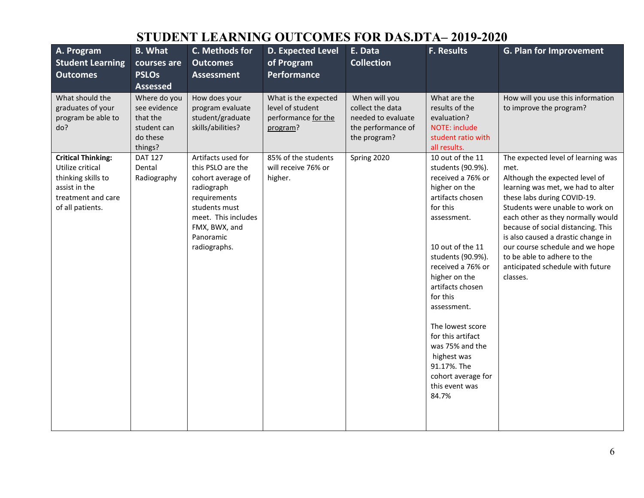| A. Program<br><b>Student Learning</b><br><b>Outcomes</b>                                                                       | <b>B.</b> What<br>courses are<br><b>PSLOs</b><br><b>Assessed</b>               | C. Methods for<br><b>Outcomes</b><br><b>Assessment</b>                                                                                                                           | <b>D. Expected Level</b><br>of Program<br>Performance                       | E. Data<br><b>Collection</b>                                                                  | <b>F. Results</b>                                                                                                                                                                                                                                                                                                                                                                                   | <b>G. Plan for Improvement</b>                                                                                                                                                                                                                                                                                                                                                                                         |
|--------------------------------------------------------------------------------------------------------------------------------|--------------------------------------------------------------------------------|----------------------------------------------------------------------------------------------------------------------------------------------------------------------------------|-----------------------------------------------------------------------------|-----------------------------------------------------------------------------------------------|-----------------------------------------------------------------------------------------------------------------------------------------------------------------------------------------------------------------------------------------------------------------------------------------------------------------------------------------------------------------------------------------------------|------------------------------------------------------------------------------------------------------------------------------------------------------------------------------------------------------------------------------------------------------------------------------------------------------------------------------------------------------------------------------------------------------------------------|
| What should the<br>graduates of your<br>program be able to<br>do?                                                              | Where do you<br>see evidence<br>that the<br>student can<br>do these<br>things? | How does your<br>program evaluate<br>student/graduate<br>skills/abilities?                                                                                                       | What is the expected<br>level of student<br>performance for the<br>program? | When will you<br>collect the data<br>needed to evaluate<br>the performance of<br>the program? | What are the<br>results of the<br>evaluation?<br><b>NOTE: include</b><br>student ratio with<br>all results.                                                                                                                                                                                                                                                                                         | How will you use this information<br>to improve the program?                                                                                                                                                                                                                                                                                                                                                           |
| <b>Critical Thinking:</b><br>Utilize critical<br>thinking skills to<br>assist in the<br>treatment and care<br>of all patients. | <b>DAT 127</b><br>Dental<br>Radiography                                        | Artifacts used for<br>this PSLO are the<br>cohort average of<br>radiograph<br>requirements<br>students must<br>meet. This includes<br>FMX, BWX, and<br>Panoramic<br>radiographs. | 85% of the students<br>will receive 76% or<br>higher.                       | Spring 2020                                                                                   | 10 out of the 11<br>students (90.9%).<br>received a 76% or<br>higher on the<br>artifacts chosen<br>for this<br>assessment.<br>10 out of the 11<br>students (90.9%).<br>received a 76% or<br>higher on the<br>artifacts chosen<br>for this<br>assessment.<br>The lowest score<br>for this artifact<br>was 75% and the<br>highest was<br>91.17%. The<br>cohort average for<br>this event was<br>84.7% | The expected level of learning was<br>met.<br>Although the expected level of<br>learning was met, we had to alter<br>these labs during COVID-19.<br>Students were unable to work on<br>each other as they normally would<br>because of social distancing. This<br>is also caused a drastic change in<br>our course schedule and we hope<br>to be able to adhere to the<br>anticipated schedule with future<br>classes. |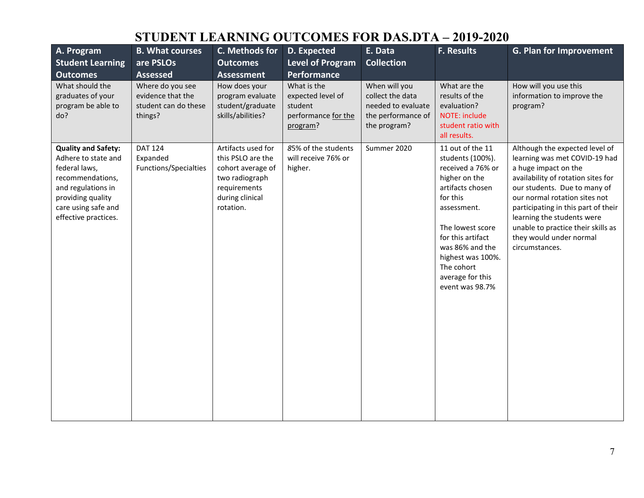| A. Program<br><b>Student Learning</b><br><b>Outcomes</b>                                                                                                                         | <b>B. What courses</b><br>are PSLOs<br><b>Assessed</b>                   | C. Methods for<br><b>Outcomes</b><br><b>Assessment</b>                                                                         | D. Expected<br><b>Level of Program</b><br><b>Performance</b>                   | E. Data<br><b>Collection</b>                                                                  | F. Results                                                                                                                                                                                                                                                      | G. Plan for Improvement                                                                                                                                                                                                                                                                                                                                |
|----------------------------------------------------------------------------------------------------------------------------------------------------------------------------------|--------------------------------------------------------------------------|--------------------------------------------------------------------------------------------------------------------------------|--------------------------------------------------------------------------------|-----------------------------------------------------------------------------------------------|-----------------------------------------------------------------------------------------------------------------------------------------------------------------------------------------------------------------------------------------------------------------|--------------------------------------------------------------------------------------------------------------------------------------------------------------------------------------------------------------------------------------------------------------------------------------------------------------------------------------------------------|
| What should the<br>graduates of your<br>program be able to<br>do?                                                                                                                | Where do you see<br>evidence that the<br>student can do these<br>things? | How does your<br>program evaluate<br>student/graduate<br>skills/abilities?                                                     | What is the<br>expected level of<br>student<br>performance for the<br>program? | When will you<br>collect the data<br>needed to evaluate<br>the performance of<br>the program? | What are the<br>results of the<br>evaluation?<br>NOTE: include<br>student ratio with<br>all results.                                                                                                                                                            | How will you use this<br>information to improve the<br>program?                                                                                                                                                                                                                                                                                        |
| <b>Quality and Safety:</b><br>Adhere to state and<br>federal laws,<br>recommendations,<br>and regulations in<br>providing quality<br>care using safe and<br>effective practices. | <b>DAT 124</b><br>Expanded<br>Functions/Specialties                      | Artifacts used for<br>this PSLO are the<br>cohort average of<br>two radiograph<br>requirements<br>during clinical<br>rotation. | 85% of the students<br>will receive 76% or<br>higher.                          | Summer 2020                                                                                   | 11 out of the 11<br>students (100%).<br>received a 76% or<br>higher on the<br>artifacts chosen<br>for this<br>assessment.<br>The lowest score<br>for this artifact<br>was 86% and the<br>highest was 100%.<br>The cohort<br>average for this<br>event was 98.7% | Although the expected level of<br>learning was met COVID-19 had<br>a huge impact on the<br>availability of rotation sites for<br>our students. Due to many of<br>our normal rotation sites not<br>participating in this part of their<br>learning the students were<br>unable to practice their skills as<br>they would under normal<br>circumstances. |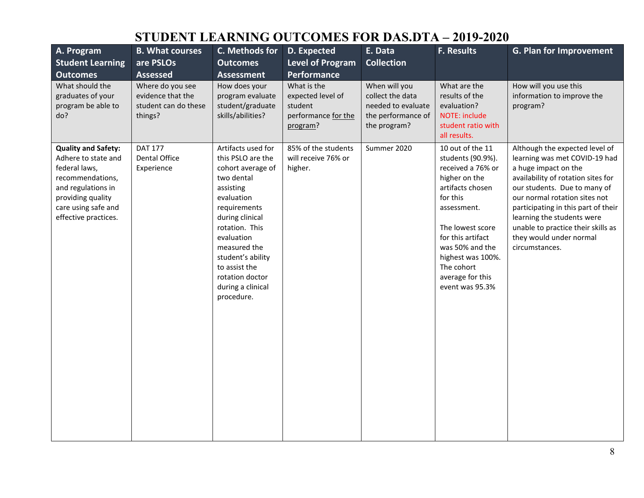| A. Program<br><b>Student Learning</b><br><b>Outcomes</b>                                                                                                                         | <b>B. What courses</b><br>are PSLOs<br><b>Assessed</b>                   | C. Methods for<br><b>Outcomes</b><br><b>Assessment</b>                                                                                                                                                                                                                               | D. Expected<br><b>Level of Program</b><br><b>Performance</b>                   | E. Data<br><b>Collection</b>                                                                  | F. Results                                                                                                                                                                                                                                                       | G. Plan for Improvement                                                                                                                                                                                                                                                                                                                                |
|----------------------------------------------------------------------------------------------------------------------------------------------------------------------------------|--------------------------------------------------------------------------|--------------------------------------------------------------------------------------------------------------------------------------------------------------------------------------------------------------------------------------------------------------------------------------|--------------------------------------------------------------------------------|-----------------------------------------------------------------------------------------------|------------------------------------------------------------------------------------------------------------------------------------------------------------------------------------------------------------------------------------------------------------------|--------------------------------------------------------------------------------------------------------------------------------------------------------------------------------------------------------------------------------------------------------------------------------------------------------------------------------------------------------|
| What should the<br>graduates of your<br>program be able to<br>do?                                                                                                                | Where do you see<br>evidence that the<br>student can do these<br>things? | How does your<br>program evaluate<br>student/graduate<br>skills/abilities?                                                                                                                                                                                                           | What is the<br>expected level of<br>student<br>performance for the<br>program? | When will you<br>collect the data<br>needed to evaluate<br>the performance of<br>the program? | What are the<br>results of the<br>evaluation?<br>NOTE: include<br>student ratio with<br>all results.                                                                                                                                                             | How will you use this<br>information to improve the<br>program?                                                                                                                                                                                                                                                                                        |
| <b>Quality and Safety:</b><br>Adhere to state and<br>federal laws,<br>recommendations,<br>and regulations in<br>providing quality<br>care using safe and<br>effective practices. | <b>DAT 177</b><br>Dental Office<br>Experience                            | Artifacts used for<br>this PSLO are the<br>cohort average of<br>two dental<br>assisting<br>evaluation<br>requirements<br>during clinical<br>rotation. This<br>evaluation<br>measured the<br>student's ability<br>to assist the<br>rotation doctor<br>during a clinical<br>procedure. | 85% of the students<br>will receive 76% or<br>higher.                          | Summer 2020                                                                                   | 10 out of the 11<br>students (90.9%).<br>received a 76% or<br>higher on the<br>artifacts chosen<br>for this<br>assessment.<br>The lowest score<br>for this artifact<br>was 50% and the<br>highest was 100%.<br>The cohort<br>average for this<br>event was 95.3% | Although the expected level of<br>learning was met COVID-19 had<br>a huge impact on the<br>availability of rotation sites for<br>our students. Due to many of<br>our normal rotation sites not<br>participating in this part of their<br>learning the students were<br>unable to practice their skills as<br>they would under normal<br>circumstances. |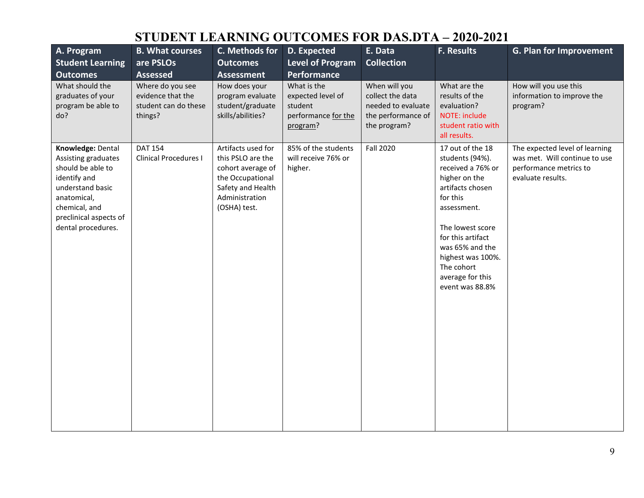| A. Program<br><b>Student Learning</b><br><b>Outcomes</b>                                                                                                                          | <b>B. What courses</b><br>are PSLOs<br><b>Assessed</b>                   | C. Methods for<br><b>Outcomes</b><br><b>Assessment</b>                                                                                  | D. Expected<br><b>Level of Program</b><br>Performance                          | E. Data<br><b>Collection</b>                                                                  | <b>F. Results</b>                                                                                                                                                                                                                                              | G. Plan for Improvement                                                                                        |
|-----------------------------------------------------------------------------------------------------------------------------------------------------------------------------------|--------------------------------------------------------------------------|-----------------------------------------------------------------------------------------------------------------------------------------|--------------------------------------------------------------------------------|-----------------------------------------------------------------------------------------------|----------------------------------------------------------------------------------------------------------------------------------------------------------------------------------------------------------------------------------------------------------------|----------------------------------------------------------------------------------------------------------------|
| What should the<br>graduates of your<br>program be able to<br>do?                                                                                                                 | Where do you see<br>evidence that the<br>student can do these<br>things? | How does your<br>program evaluate<br>student/graduate<br>skills/abilities?                                                              | What is the<br>expected level of<br>student<br>performance for the<br>program? | When will you<br>collect the data<br>needed to evaluate<br>the performance of<br>the program? | What are the<br>results of the<br>evaluation?<br>NOTE: include<br>student ratio with<br>all results.                                                                                                                                                           | How will you use this<br>information to improve the<br>program?                                                |
| Knowledge: Dental<br>Assisting graduates<br>should be able to<br>identify and<br>understand basic<br>anatomical,<br>chemical, and<br>preclinical aspects of<br>dental procedures. | <b>DAT 154</b><br><b>Clinical Procedures I</b>                           | Artifacts used for<br>this PSLO are the<br>cohort average of<br>the Occupational<br>Safety and Health<br>Administration<br>(OSHA) test. | 85% of the students<br>will receive 76% or<br>higher.                          | <b>Fall 2020</b>                                                                              | 17 out of the 18<br>students (94%).<br>received a 76% or<br>higher on the<br>artifacts chosen<br>for this<br>assessment.<br>The lowest score<br>for this artifact<br>was 65% and the<br>highest was 100%.<br>The cohort<br>average for this<br>event was 88.8% | The expected level of learning<br>was met. Will continue to use<br>performance metrics to<br>evaluate results. |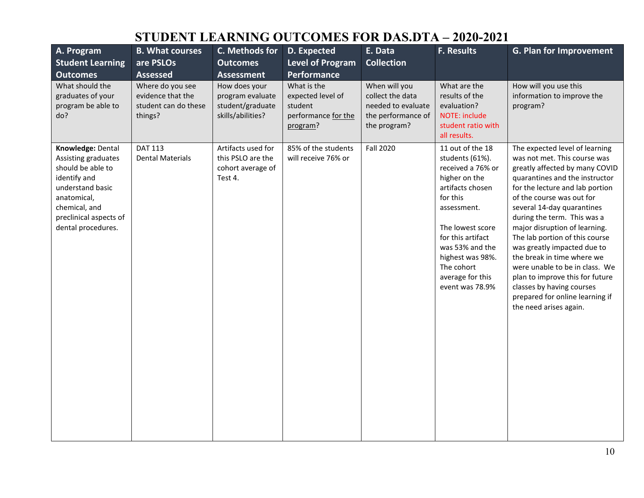| A. Program<br><b>Student Learning</b><br><b>Outcomes</b>                                                                                                                          | <b>B. What courses</b><br>are PSLOs<br><b>Assessed</b>                   | C. Methods for<br><b>Outcomes</b><br><b>Assessment</b>                     | D. Expected<br><b>Level of Program</b><br><b>Performance</b>                   | E. Data<br><b>Collection</b>                                                                  | <b>F. Results</b>                                                                                                                                                                                                                                             | <b>G. Plan for Improvement</b>                                                                                                                                                                                                                                                                                                                                                                                                                                                                                                                                 |
|-----------------------------------------------------------------------------------------------------------------------------------------------------------------------------------|--------------------------------------------------------------------------|----------------------------------------------------------------------------|--------------------------------------------------------------------------------|-----------------------------------------------------------------------------------------------|---------------------------------------------------------------------------------------------------------------------------------------------------------------------------------------------------------------------------------------------------------------|----------------------------------------------------------------------------------------------------------------------------------------------------------------------------------------------------------------------------------------------------------------------------------------------------------------------------------------------------------------------------------------------------------------------------------------------------------------------------------------------------------------------------------------------------------------|
| What should the<br>graduates of your<br>program be able to<br>do?                                                                                                                 | Where do you see<br>evidence that the<br>student can do these<br>things? | How does your<br>program evaluate<br>student/graduate<br>skills/abilities? | What is the<br>expected level of<br>student<br>performance for the<br>program? | When will you<br>collect the data<br>needed to evaluate<br>the performance of<br>the program? | What are the<br>results of the<br>evaluation?<br><b>NOTE: include</b><br>student ratio with<br>all results.                                                                                                                                                   | How will you use this<br>information to improve the<br>program?                                                                                                                                                                                                                                                                                                                                                                                                                                                                                                |
| Knowledge: Dental<br>Assisting graduates<br>should be able to<br>identify and<br>understand basic<br>anatomical,<br>chemical, and<br>preclinical aspects of<br>dental procedures. | <b>DAT 113</b><br><b>Dental Materials</b>                                | Artifacts used for<br>this PSLO are the<br>cohort average of<br>Test 4.    | 85% of the students<br>will receive 76% or                                     | Fall 2020                                                                                     | 11 out of the 18<br>students (61%).<br>received a 76% or<br>higher on the<br>artifacts chosen<br>for this<br>assessment.<br>The lowest score<br>for this artifact<br>was 53% and the<br>highest was 98%.<br>The cohort<br>average for this<br>event was 78.9% | The expected level of learning<br>was not met. This course was<br>greatly affected by many COVID<br>quarantines and the instructor<br>for the lecture and lab portion<br>of the course was out for<br>several 14-day quarantines<br>during the term. This was a<br>major disruption of learning.<br>The lab portion of this course<br>was greatly impacted due to<br>the break in time where we<br>were unable to be in class. We<br>plan to improve this for future<br>classes by having courses<br>prepared for online learning if<br>the need arises again. |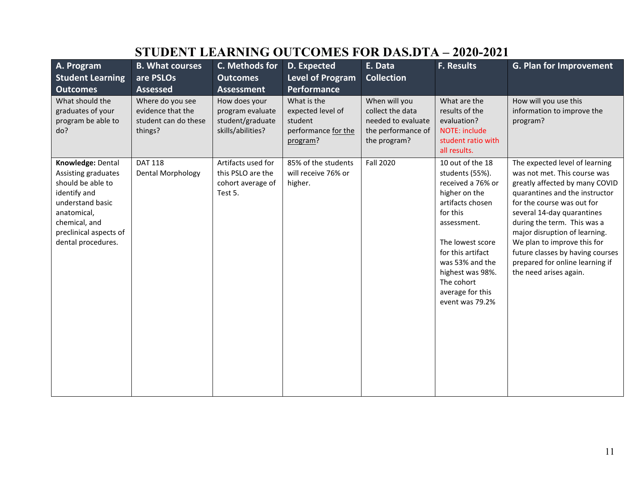| A. Program<br><b>Student Learning</b><br><b>Outcomes</b>                                                                                                                          | <b>B. What courses</b><br>are PSLOs<br><b>Assessed</b>                   | C. Methods for<br><b>Outcomes</b><br><b>Assessment</b>                     | D. Expected<br><b>Level of Program</b><br><b>Performance</b>                   | E. Data<br><b>Collection</b>                                                                  | <b>F. Results</b>                                                                                                                                                                                                                                             | G. Plan for Improvement                                                                                                                                                                                                                                                                                                                                                                        |
|-----------------------------------------------------------------------------------------------------------------------------------------------------------------------------------|--------------------------------------------------------------------------|----------------------------------------------------------------------------|--------------------------------------------------------------------------------|-----------------------------------------------------------------------------------------------|---------------------------------------------------------------------------------------------------------------------------------------------------------------------------------------------------------------------------------------------------------------|------------------------------------------------------------------------------------------------------------------------------------------------------------------------------------------------------------------------------------------------------------------------------------------------------------------------------------------------------------------------------------------------|
| What should the<br>graduates of your<br>program be able to<br>do?                                                                                                                 | Where do you see<br>evidence that the<br>student can do these<br>things? | How does your<br>program evaluate<br>student/graduate<br>skills/abilities? | What is the<br>expected level of<br>student<br>performance for the<br>program? | When will you<br>collect the data<br>needed to evaluate<br>the performance of<br>the program? | What are the<br>results of the<br>evaluation?<br>NOTE: include<br>student ratio with<br>all results.                                                                                                                                                          | How will you use this<br>information to improve the<br>program?                                                                                                                                                                                                                                                                                                                                |
| Knowledge: Dental<br>Assisting graduates<br>should be able to<br>identify and<br>understand basic<br>anatomical,<br>chemical, and<br>preclinical aspects of<br>dental procedures. | <b>DAT 118</b><br>Dental Morphology                                      | Artifacts used for<br>this PSLO are the<br>cohort average of<br>Test 5.    | 85% of the students<br>will receive 76% or<br>higher.                          | <b>Fall 2020</b>                                                                              | 10 out of the 18<br>students (55%).<br>received a 76% or<br>higher on the<br>artifacts chosen<br>for this<br>assessment.<br>The lowest score<br>for this artifact<br>was 53% and the<br>highest was 98%.<br>The cohort<br>average for this<br>event was 79.2% | The expected level of learning<br>was not met. This course was<br>greatly affected by many COVID<br>quarantines and the instructor<br>for the course was out for<br>several 14-day quarantines<br>during the term. This was a<br>major disruption of learning.<br>We plan to improve this for<br>future classes by having courses<br>prepared for online learning if<br>the need arises again. |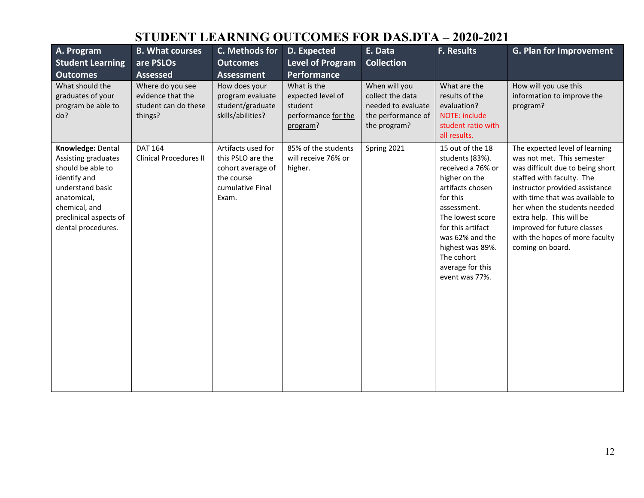| A. Program<br><b>Student Learning</b><br><b>Outcomes</b>                                                                                                                          | <b>B. What courses</b><br>are PSLOs<br><b>Assessed</b>                   | C. Methods for<br><b>Outcomes</b><br><b>Assessment</b>                                                  | D. Expected<br><b>Level of Program</b><br>Performance                          | E. Data<br><b>Collection</b>                                                                  | <b>F. Results</b>                                                                                                                                                                                                                                            | <b>G. Plan for Improvement</b>                                                                                                                                                                                                                                                                                                                      |
|-----------------------------------------------------------------------------------------------------------------------------------------------------------------------------------|--------------------------------------------------------------------------|---------------------------------------------------------------------------------------------------------|--------------------------------------------------------------------------------|-----------------------------------------------------------------------------------------------|--------------------------------------------------------------------------------------------------------------------------------------------------------------------------------------------------------------------------------------------------------------|-----------------------------------------------------------------------------------------------------------------------------------------------------------------------------------------------------------------------------------------------------------------------------------------------------------------------------------------------------|
| What should the<br>graduates of your<br>program be able to<br>do?                                                                                                                 | Where do you see<br>evidence that the<br>student can do these<br>things? | How does your<br>program evaluate<br>student/graduate<br>skills/abilities?                              | What is the<br>expected level of<br>student<br>performance for the<br>program? | When will you<br>collect the data<br>needed to evaluate<br>the performance of<br>the program? | What are the<br>results of the<br>evaluation?<br>NOTE: include<br>student ratio with<br>all results.                                                                                                                                                         | How will you use this<br>information to improve the<br>program?                                                                                                                                                                                                                                                                                     |
| Knowledge: Dental<br>Assisting graduates<br>should be able to<br>identify and<br>understand basic<br>anatomical,<br>chemical, and<br>preclinical aspects of<br>dental procedures. | <b>DAT 164</b><br><b>Clinical Procedures II</b>                          | Artifacts used for<br>this PSLO are the<br>cohort average of<br>the course<br>cumulative Final<br>Exam. | 85% of the students<br>will receive 76% or<br>higher.                          | Spring 2021                                                                                   | 15 out of the 18<br>students (83%).<br>received a 76% or<br>higher on the<br>artifacts chosen<br>for this<br>assessment.<br>The lowest score<br>for this artifact<br>was 62% and the<br>highest was 89%.<br>The cohort<br>average for this<br>event was 77%. | The expected level of learning<br>was not met. This semester<br>was difficult due to being short<br>staffed with faculty. The<br>instructor provided assistance<br>with time that was available to<br>her when the students needed<br>extra help. This will be<br>improved for future classes<br>with the hopes of more faculty<br>coming on board. |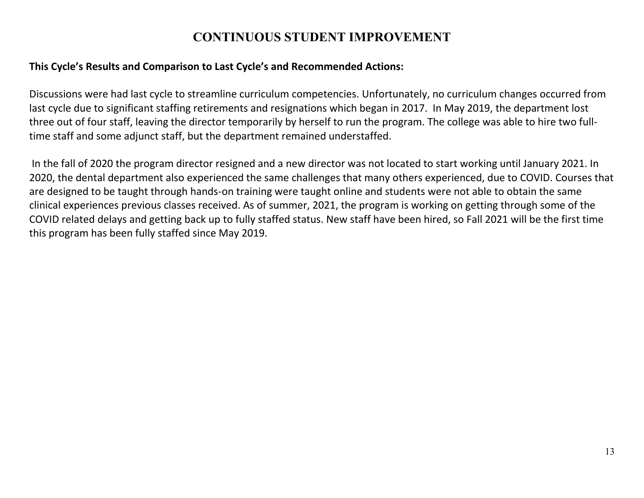#### **CONTINUOUS STUDENT IMPROVEMENT**

#### **This Cycle's Results and Comparison to Last Cycle's and Recommended Actions:**

Discussions were had last cycle to streamline curriculum competencies. Unfortunately, no curriculum changes occurred from last cycle due to significant staffing retirements and resignations which began in 2017. In May 2019, the department lost three out of four staff, leaving the director temporarily by herself to run the program. The college was able to hire two fulltime staff and some adjunct staff, but the department remained understaffed.

In the fall of 2020 the program director resigned and a new director was not located to start working until January 2021. In 2020, the dental department also experienced the same challenges that many others experienced, due to COVID. Courses that are designed to be taught through hands-on training were taught online and students were not able to obtain the same clinical experiences previous classes received. As of summer, 2021, the program is working on getting through some of the COVID related delays and getting back up to fully staffed status. New staff have been hired, so Fall 2021 will be the first time this program has been fully staffed since May 2019.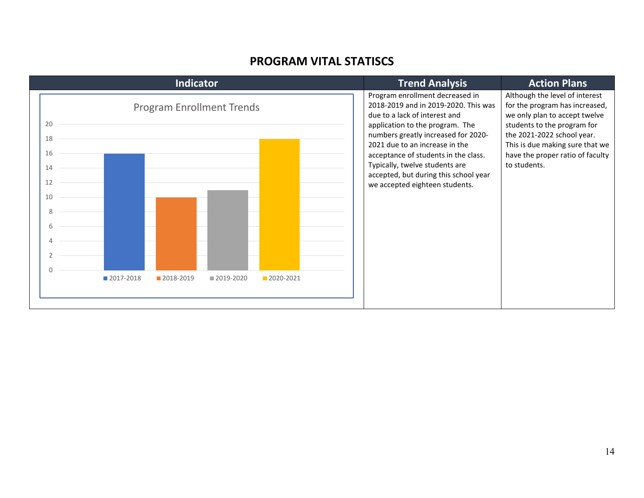#### **PROGRAM VITAL STATISCS**

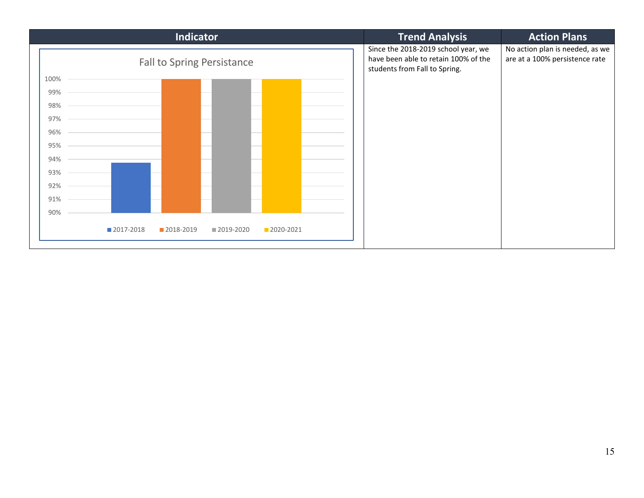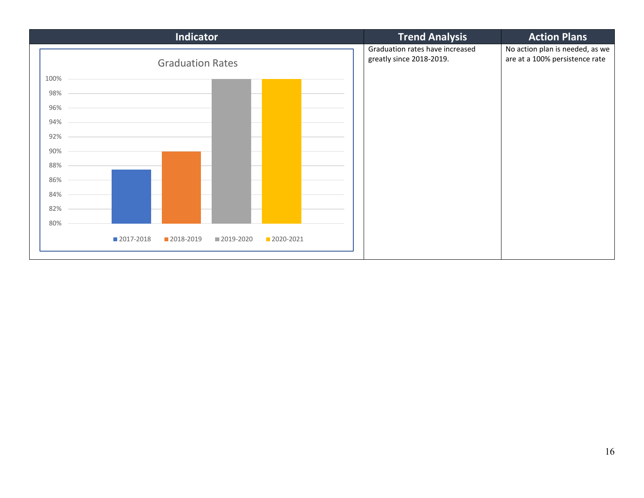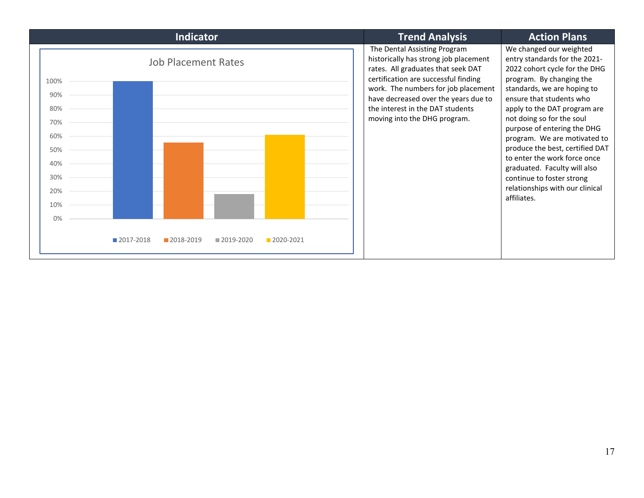